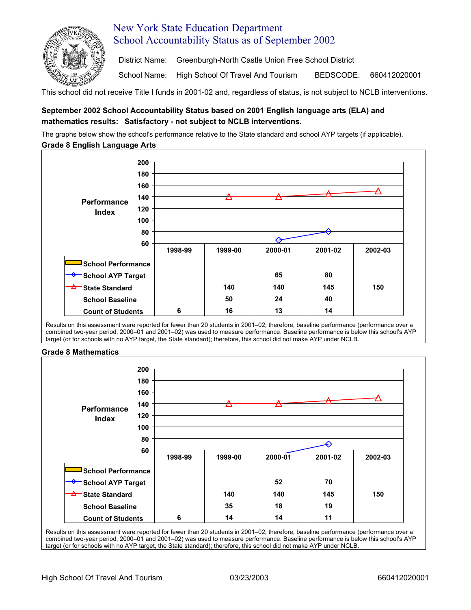

# New York State Education Department School Accountability Status as of September 2002

District Name: Greenburgh-North Castle Union Free School District

School Name: High School Of Travel And Tourism BEDSCODE: 660412020001

This school did not receive Title I funds in 2001-02 and, regardless of status, is not subject to NCLB interventions.

## **September 2002 School Accountability Status based on 2001 English language arts (ELA) and mathematics results: Satisfactory - not subject to NCLB interventions.**

The graphs below show the school's performance relative to the State standard and school AYP targets (if applicable). **Grade 8 English Language Arts** 



Results on this assessment were reported for fewer than 20 students in 2001–02; therefore, baseline performance (performance over a combined two-year period, 2000–01 and 2001–02) was used to measure performance. Baseline performance is below this school's AYP target (or for schools with no AYP target, the State standard); therefore, this school did not make AYP under NCLB.

### **Grade 8 Mathematics**



Results on this assessment were reported for fewer than 20 students in 2001–02; therefore, baseline performance (performance over a combined two-year period, 2000–01 and 2001–02) was used to measure performance. Baseline performance is below this school's AYP target (or for schools with no AYP target, the State standard); therefore, this school did not make AYP under NCLB.